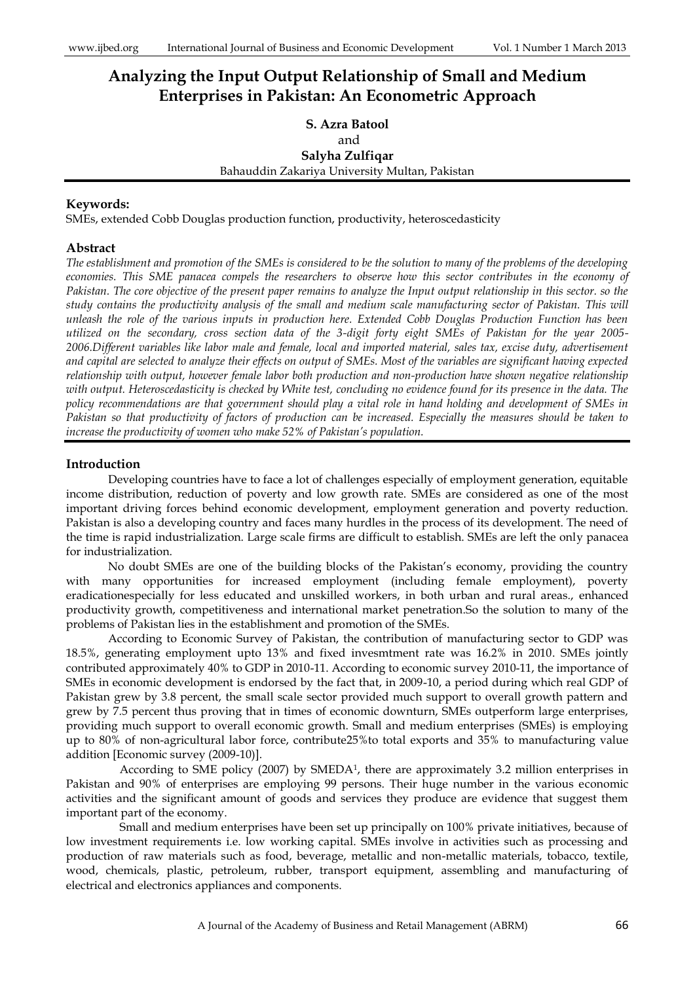# **Analyzing the Input Output Relationship of Small and Medium Enterprises in Pakistan: An Econometric Approach**

# **S. Azra Batool** and **Salyha Zulfiqar** Bahauddin Zakariya University Multan, Pakistan

# **Keywords:**

SMEs, extended Cobb Douglas production function, productivity, heteroscedasticity

# **Abstract**

*The establishment and promotion of the SMEs is considered to be the solution to many of the problems of the developing economies. This SME panacea compels the researchers to observe how this sector contributes in the economy of Pakistan. The core objective of the present paper remains to analyze the Input output relationship in this sector. so the study contains the productivity analysis of the small and medium scale manufacturing sector of Pakistan. This will unleash the role of the various inputs in production here. Extended Cobb Douglas Production Function has been utilized on the secondary, cross section data of the 3-digit forty eight SMEs of Pakistan for the year 2005- 2006.Different variables like labor male and female, local and imported material, sales tax, excise duty, advertisement and capital are selected to analyze their effects on output of SMEs. Most of the variables are significant having expected relationship with output, however female labor both production and non-production have shown negative relationship with output. Heteroscedasticity is checked by White test, concluding no evidence found for its presence in the data. The policy recommendations are that government should play a vital role in hand holding and development of SMEs in Pakistan so that productivity of factors of production can be increased. Especially the measures should be taken to increase the productivity of women who make 52% of Pakistan's population.*

# **Introduction**

Developing countries have to face a lot of challenges especially of employment generation, equitable income distribution, reduction of poverty and low growth rate. SMEs are considered as one of the most important driving forces behind economic development, employment generation and poverty reduction. Pakistan is also a developing country and faces many hurdles in the process of its development. The need of the time is rapid industrialization. Large scale firms are difficult to establish. SMEs are left the only panacea for industrialization.

No doubt SMEs are one of the building blocks of the Pakistan's economy, providing the country with many opportunities for increased employment (including female employment), poverty eradicationespecially for less educated and unskilled workers, in both urban and rural areas., enhanced productivity growth, competitiveness and international market penetration.So the solution to many of the problems of Pakistan lies in the establishment and promotion of the SMEs.

According to Economic Survey of Pakistan, the contribution of manufacturing sector to GDP was 18.5%, generating employment upto 13% and fixed invesmtment rate was 16.2% in 2010. SMEs jointly contributed approximately 40% to GDP in 2010-11. According to economic survey 2010-11, the importance of SMEs in economic development is endorsed by the fact that, in 2009-10, a period during which real GDP of Pakistan grew by 3.8 percent, the small scale sector provided much support to overall growth pattern and grew by 7.5 percent thus proving that in times of economic downturn, SMEs outperform large enterprises, providing much support to overall economic growth. Small and medium enterprises (SMEs) is employing up to 80% of non-agricultural labor force, contribute25%to total exports and 35% to manufacturing value addition [Economic survey (2009-10)].

According to SME policy (2007) by SMEDA<sup>1</sup>, there are approximately 3.2 million enterprises in Pakistan and 90% of enterprises are employing 99 persons. Their huge number in the various economic activities and the significant amount of goods and services they produce are evidence that suggest them important part of the economy.

Small and medium enterprises have been set up principally on 100% private initiatives, because of low investment requirements i.e. low working capital. SMEs involve in activities such as processing and production of raw materials such as food, beverage, metallic and non-metallic materials, tobacco, textile, wood, chemicals, plastic, petroleum, rubber, transport equipment, assembling and manufacturing of electrical and electronics appliances and components.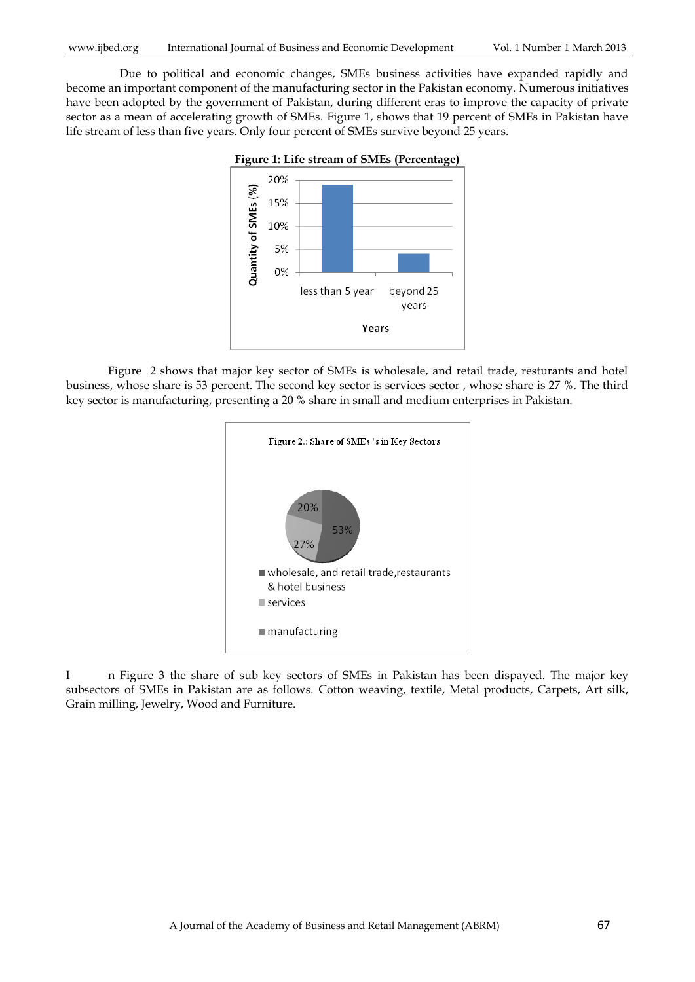Due to political and economic changes, SMEs business activities have expanded rapidly and become an important component of the manufacturing sector in the Pakistan economy. Numerous initiatives have been adopted by the government of Pakistan, during different eras to improve the capacity of private sector as a mean of accelerating growth of SMEs. Figure 1, shows that 19 percent of SMEs in Pakistan have life stream of less than five years. Only four percent of SMEs survive beyond 25 years.



Figure 2 shows that major key sector of SMEs is wholesale, and retail trade, resturants and hotel business, whose share is 53 percent. The second key sector is services sector , whose share is 27 %. The third key sector is manufacturing, presenting a 20 % share in small and medium enterprises in Pakistan.



I n Figure 3 the share of sub key sectors of SMEs in Pakistan has been dispayed. The major key subsectors of SMEs in Pakistan are as follows. Cotton weaving, textile, Metal products, Carpets, Art silk, Grain milling, Jewelry, Wood and Furniture.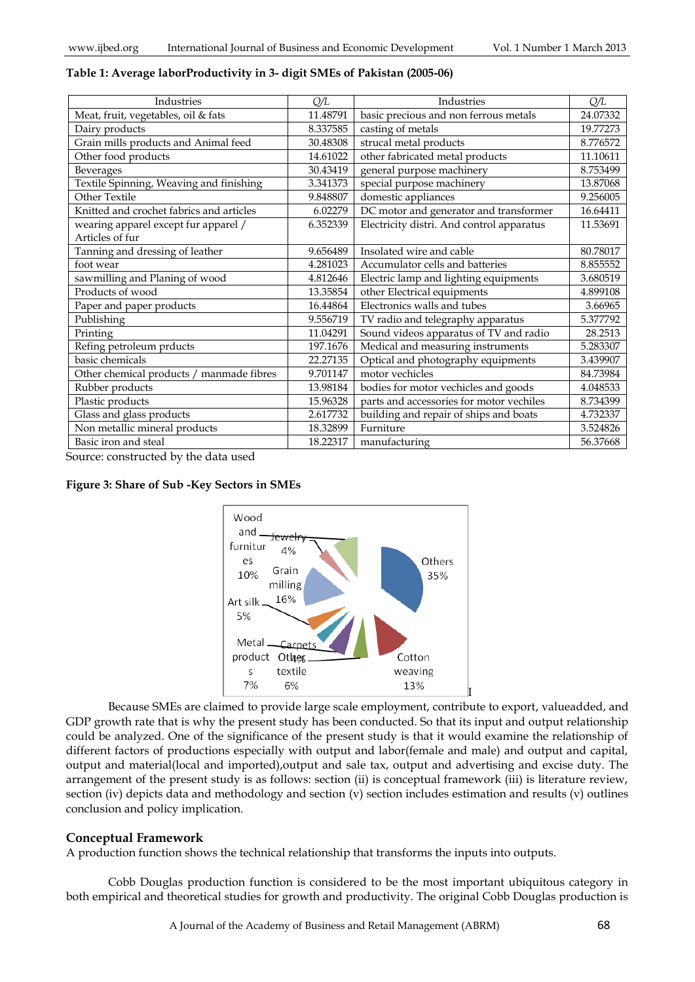# **Table 1: Average laborProductivity in 3- digit SMEs of Pakistan (2005-06)**

| Industries                               | Q/L      | Industries                                         | Q/L      |
|------------------------------------------|----------|----------------------------------------------------|----------|
| Meat, fruit, vegetables, oil & fats      | 11.48791 | basic precious and non ferrous metals              | 24.07332 |
| Dairy products                           | 8.337585 | casting of metals                                  | 19.77273 |
| Grain mills products and Animal feed     | 30.48308 | strucal metal products                             | 8.776572 |
| Other food products                      | 14.61022 | other fabricated metal products                    | 11.10611 |
| Beverages                                | 30.43419 | general purpose machinery                          | 8.753499 |
| Textile Spinning, Weaving and finishing  | 3.341373 | special purpose machinery                          | 13.87068 |
| Other Textile                            | 9.848807 | domestic appliances                                | 9.256005 |
| Knitted and crochet fabrics and articles | 6.02279  | DC motor and generator and transformer             | 16.64411 |
| wearing apparel except fur apparel /     | 6.352339 | Electricity distri. And control apparatus          | 11.53691 |
| Articles of fur                          |          |                                                    |          |
| Tanning and dressing of leather          | 9.656489 | Insolated wire and cable                           | 80.78017 |
| foot wear                                | 4.281023 | Accumulator cells and batteries                    | 8.855552 |
| sawmilling and Planing of wood           | 4.812646 | Electric lamp and lighting equipments              | 3.680519 |
| Products of wood                         | 13.35854 | other Electrical equipments                        | 4.899108 |
| Paper and paper products                 | 16.44864 | Electronics walls and tubes<br>3.66965             |          |
| Publishing                               | 9.556719 | TV radio and telegraphy apparatus                  | 5.377792 |
| Printing                                 | 11.04291 | Sound videos apparatus of TV and radio             | 28.2513  |
| Refing petroleum prducts                 | 197.1676 | Medical and measuring instruments                  | 5.283307 |
| basic chemicals                          | 22.27135 | Optical and photography equipments                 | 3.439907 |
| Other chemical products / manmade fibres | 9.701147 | motor vechicles                                    | 84.73984 |
| Rubber products                          | 13.98184 | bodies for motor vechicles and goods               | 4.048533 |
| Plastic products                         | 15.96328 | parts and accessories for motor vechiles           | 8.734399 |
| Glass and glass products                 | 2.617732 | building and repair of ships and boats<br>4.732337 |          |
| Non metallic mineral products            | 18.32899 | Furniture<br>3.524826                              |          |
| Basic iron and steal                     | 18.22317 | manufacturing                                      | 56.37668 |

Source: constructed by the data used

#### **Figure 3: Share of Sub -Key Sectors in SMEs**



Because SMEs are claimed to provide large scale employment, contribute to export, valueadded, and GDP growth rate that is why the present study has been conducted. So that its input and output relationship could be analyzed. One of the significance of the present study is that it would examine the relationship of different factors of productions especially with output and labor(female and male) and output and capital, output and material(local and imported),output and sale tax, output and advertising and excise duty. The arrangement of the present study is as follows: section (ii) is conceptual framework (iii) is literature review, section (iv) depicts data and methodology and section (v) section includes estimation and results (v) outlines conclusion and policy implication.

## **Conceptual Framework**

A production function shows the technical relationship that transforms the inputs into outputs.

Cobb Douglas production function is considered to be the most important ubiquitous category in both empirical and theoretical studies for growth and productivity. The original Cobb Douglas production is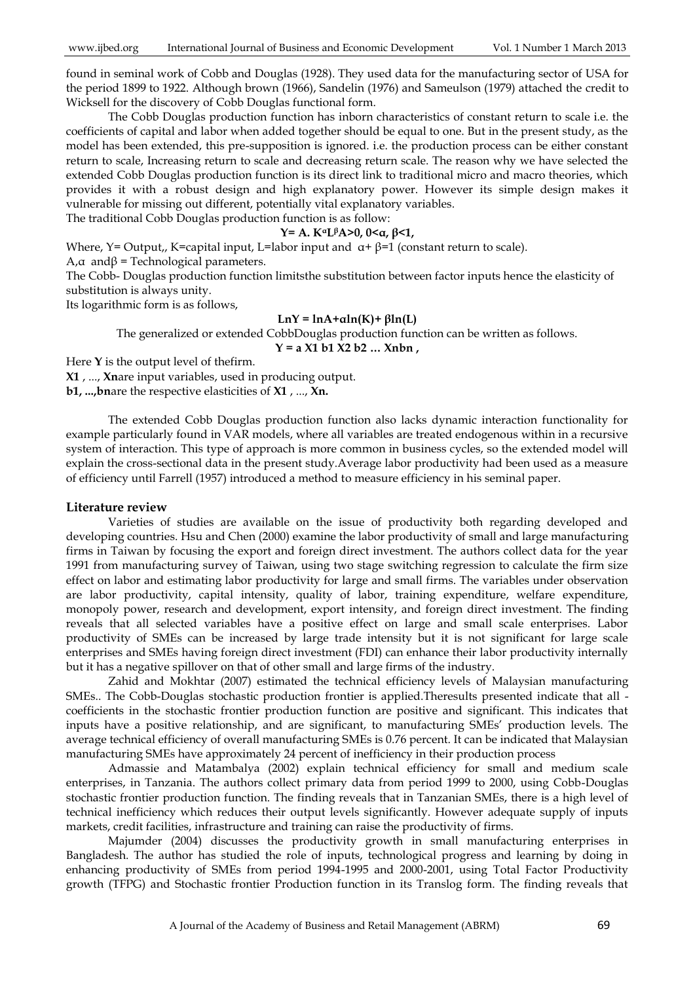found in seminal work of Cobb and Douglas (1928). They used data for the manufacturing sector of USA for the period 1899 to 1922. Although brown (1966), Sandelin (1976) and Sameulson (1979) attached the credit to Wicksell for the discovery of Cobb Douglas functional form.

The Cobb Douglas production function has inborn characteristics of constant return to scale i.e. the coefficients of capital and labor when added together should be equal to one. But in the present study, as the model has been extended, this pre-supposition is ignored. i.e. the production process can be either constant return to scale, Increasing return to scale and decreasing return scale. The reason why we have selected the extended Cobb Douglas production function is its direct link to traditional micro and macro theories, which provides it with a robust design and high explanatory power. However its simple design makes it vulnerable for missing out different, potentially vital explanatory variables. The traditional Cobb Douglas production function is as follow:

#### **Y= A. KαLβA>0, 0<α, β<1,**

Where, Y= Output,, K=capital input, L=labor input and  $\alpha$ + β=1 (constant return to scale).

A, $α$  and $β$  = Technological parameters.

The Cobb- Douglas production function limitsthe substitution between factor inputs hence the elasticity of substitution is always unity.

Its logarithmic form is as follows,

#### **LnY = lnA+αln(K)+ βln(L)**

The generalized or extended CobbDouglas production function can be written as follows.

**Y = a X1 b1 X2 b2 … Xnbn ,**

Here **Y** is the output level of thefirm.

**X1** , ..., **Xn**are input variables, used in producing output.

**b1, ...,bn**are the respective elasticities of **X1** , ..., **Xn.**

The extended Cobb Douglas production function also lacks dynamic interaction functionality for example particularly found in VAR models, where all variables are treated endogenous within in a recursive system of interaction. This type of approach is more common in business cycles, so the extended model will explain the cross-sectional data in the present study.Average labor productivity had been used as a measure of efficiency until Farrell (1957) introduced a method to measure efficiency in his seminal paper.

#### **Literature review**

Varieties of studies are available on the issue of productivity both regarding developed and developing countries. Hsu and Chen (2000) examine the labor productivity of small and large manufacturing firms in Taiwan by focusing the export and foreign direct investment. The authors collect data for the year 1991 from manufacturing survey of Taiwan, using two stage switching regression to calculate the firm size effect on labor and estimating labor productivity for large and small firms. The variables under observation are labor productivity, capital intensity, quality of labor, training expenditure, welfare expenditure, monopoly power, research and development, export intensity, and foreign direct investment. The finding reveals that all selected variables have a positive effect on large and small scale enterprises. Labor productivity of SMEs can be increased by large trade intensity but it is not significant for large scale enterprises and SMEs having foreign direct investment (FDI) can enhance their labor productivity internally but it has a negative spillover on that of other small and large firms of the industry.

Zahid and Mokhtar (2007) estimated the technical efficiency levels of Malaysian manufacturing SMEs.. The Cobb-Douglas stochastic production frontier is applied.Theresults presented indicate that all coefficients in the stochastic frontier production function are positive and significant. This indicates that inputs have a positive relationship, and are significant, to manufacturing SMEs' production levels. The average technical efficiency of overall manufacturing SMEs is 0.76 percent. It can be indicated that Malaysian manufacturing SMEs have approximately 24 percent of inefficiency in their production process

Admassie and Matambalya (2002) explain technical efficiency for small and medium scale enterprises, in Tanzania. The authors collect primary data from period 1999 to 2000, using Cobb-Douglas stochastic frontier production function. The finding reveals that in Tanzanian SMEs, there is a high level of technical inefficiency which reduces their output levels significantly. However adequate supply of inputs markets, credit facilities, infrastructure and training can raise the productivity of firms.

Majumder (2004) discusses the productivity growth in small manufacturing enterprises in Bangladesh. The author has studied the role of inputs, technological progress and learning by doing in enhancing productivity of SMEs from period 1994-1995 and 2000-2001, using Total Factor Productivity growth (TFPG) and Stochastic frontier Production function in its Translog form. The finding reveals that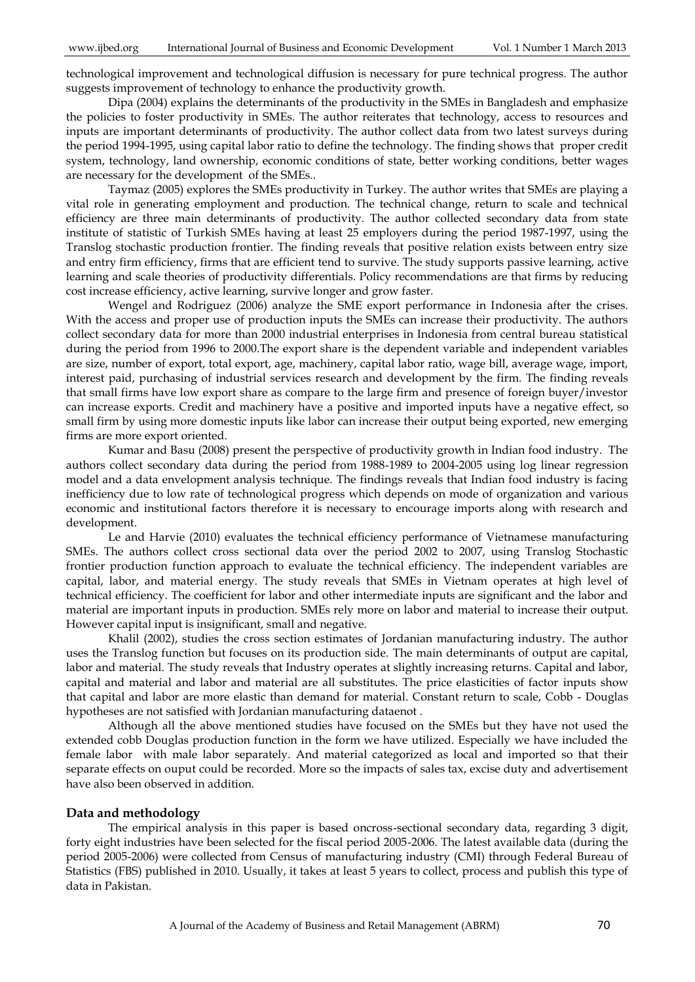technological improvement and technological diffusion is necessary for pure technical progress. The author suggests improvement of technology to enhance the productivity growth.

Dipa (2004) explains the determinants of the productivity in the SMEs in Bangladesh and emphasize the policies to foster productivity in SMEs. The author reiterates that technology, access to resources and inputs are important determinants of productivity. The author collect data from two latest surveys during the period 1994-1995, using capital labor ratio to define the technology. The finding shows that proper credit system, technology, land ownership, economic conditions of state, better working conditions, better wages are necessary for the development of the SMEs..

Taymaz (2005) explores the SMEs productivity in Turkey. The author writes that SMEs are playing a vital role in generating employment and production. The technical change, return to scale and technical efficiency are three main determinants of productivity. The author collected secondary data from state institute of statistic of Turkish SMEs having at least 25 employers during the period 1987-1997, using the Translog stochastic production frontier. The finding reveals that positive relation exists between entry size and entry firm efficiency, firms that are efficient tend to survive. The study supports passive learning, active learning and scale theories of productivity differentials. Policy recommendations are that firms by reducing cost increase efficiency, active learning, survive longer and grow faster.

Wengel and Rodriguez (2006) analyze the SME export performance in Indonesia after the crises. With the access and proper use of production inputs the SMEs can increase their productivity. The authors collect secondary data for more than 2000 industrial enterprises in Indonesia from central bureau statistical during the period from 1996 to 2000.The export share is the dependent variable and independent variables are size, number of export, total export, age, machinery, capital labor ratio, wage bill, average wage, import, interest paid, purchasing of industrial services research and development by the firm. The finding reveals that small firms have low export share as compare to the large firm and presence of foreign buyer/investor can increase exports. Credit and machinery have a positive and imported inputs have a negative effect, so small firm by using more domestic inputs like labor can increase their output being exported, new emerging firms are more export oriented.

Kumar and Basu (2008) present the perspective of productivity growth in Indian food industry. The authors collect secondary data during the period from 1988-1989 to 2004-2005 using log linear regression model and a data envelopment analysis technique. The findings reveals that Indian food industry is facing inefficiency due to low rate of technological progress which depends on mode of organization and various economic and institutional factors therefore it is necessary to encourage imports along with research and development.

Le and Harvie (2010) evaluates the technical efficiency performance of Vietnamese manufacturing SMEs. The authors collect cross sectional data over the period 2002 to 2007, using Translog Stochastic frontier production function approach to evaluate the technical efficiency. The independent variables are capital, labor, and material energy. The study reveals that SMEs in Vietnam operates at high level of technical efficiency. The coefficient for labor and other intermediate inputs are significant and the labor and material are important inputs in production. SMEs rely more on labor and material to increase their output. However capital input is insignificant, small and negative.

Khalil (2002), studies the cross section estimates of Jordanian manufacturing industry. The author uses the Translog function but focuses on its production side. The main determinants of output are capital, labor and material. The study reveals that Industry operates at slightly increasing returns. Capital and labor, capital and material and labor and material are all substitutes. The price elasticities of factor inputs show that capital and labor are more elastic than demand for material. Constant return to scale, Cobb - Douglas hypotheses are not satisfied with Jordanian manufacturing dataenot .

Although all the above mentioned studies have focused on the SMEs but they have not used the extended cobb Douglas production function in the form we have utilized. Especially we have included the female labor with male labor separately. And material categorized as local and imported so that their separate effects on ouput could be recorded. More so the impacts of sales tax, excise duty and advertisement have also been observed in addition.

## **Data and methodology**

The empirical analysis in this paper is based oncross-sectional secondary data, regarding 3 digit, forty eight industries have been selected for the fiscal period 2005-2006. The latest available data (during the period 2005-2006) were collected from Census of manufacturing industry (CMI) through Federal Bureau of Statistics (FBS) published in 2010. Usually, it takes at least 5 years to collect, process and publish this type of data in Pakistan.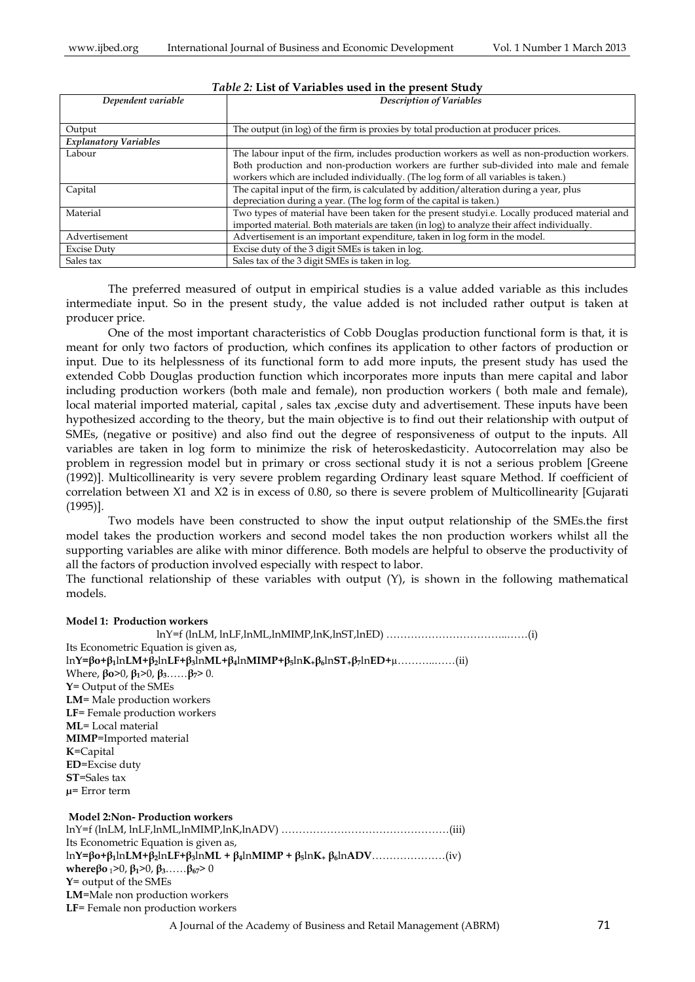| Dependent variable           | <b>Description of Variables</b>                                                               |
|------------------------------|-----------------------------------------------------------------------------------------------|
|                              |                                                                                               |
| Output                       | The output (in log) of the firm is proxies by total production at producer prices.            |
| <b>Explanatory Variables</b> |                                                                                               |
| Labour                       | The labour input of the firm, includes production workers as well as non-production workers.  |
|                              | Both production and non-production workers are further sub-divided into male and female       |
|                              | workers which are included individually. (The log form of all variables is taken.)            |
| Capital                      | The capital input of the firm, is calculated by addition/alteration during a year, plus       |
|                              | depreciation during a year. (The log form of the capital is taken.)                           |
| Material                     | Two types of material have been taken for the present studyi.e. Locally produced material and |
|                              | imported material. Both materials are taken (in log) to analyze their affect individually.    |
| Advertisement                | Advertisement is an important expenditure, taken in log form in the model.                    |
| <b>Excise Duty</b>           | Excise duty of the 3 digit SMEs is taken in log.                                              |
| Sales tax                    | Sales tax of the 3 digit SMEs is taken in log.                                                |

# *Table 2:* **List of Variables used in the present Study**

The preferred measured of output in empirical studies is a value added variable as this includes intermediate input. So in the present study, the value added is not included rather output is taken at producer price.

One of the most important characteristics of Cobb Douglas production functional form is that, it is meant for only two factors of production, which confines its application to other factors of production or input. Due to its helplessness of its functional form to add more inputs, the present study has used the extended Cobb Douglas production function which incorporates more inputs than mere capital and labor including production workers (both male and female), non production workers ( both male and female), local material imported material, capital , sales tax ,excise duty and advertisement. These inputs have been hypothesized according to the theory, but the main objective is to find out their relationship with output of SMEs, (negative or positive) and also find out the degree of responsiveness of output to the inputs. All variables are taken in log form to minimize the risk of heteroskedasticity. Autocorrelation may also be problem in regression model but in primary or cross sectional study it is not a serious problem [Greene (1992)]. Multicollinearity is very severe problem regarding Ordinary least square Method. If coefficient of correlation between X1 and X2 is in excess of 0.80, so there is severe problem of Multicollinearity [Gujarati (1995)].

Two models have been constructed to show the input output relationship of the SMEs.the first model takes the production workers and second model takes the non production workers whilst all the supporting variables are alike with minor difference. Both models are helpful to observe the productivity of all the factors of production involved especially with respect to labor.

The functional relationship of these variables with output  $(Y)$ , is shown in the following mathematical models.

#### **Model 1: Production workers**

 $lnY=f$  (lnLM, lnLF,lnML,lnMIMP,lnK,lnST,lnED) …………………………………………(i) Its Econometric Equation is given as, ln**Y=βo+β1**ln**LM+β2**ln**LF+β3**ln**ML+β4**ln**MIMP+β5**ln**K+β6**ln**ST+β7**ln**ED+**µ………..……(ii) Where, **βo**>0, **β1**>0, **β3**……**β7**> 0. **Y**= Output of the SMEs **LM**= Male production workers **LF**= Female production workers **ML**= Local material **MIMP**=Imported material **K**=Capital **ED**=Excise duty **ST**=Sales tax **µ**= Error term **Model 2:Non- Production workers** lnY=f (lnLM, lnLF,lnML,lnMIMP,lnK,lnADV) …………………………………………(iii) Its Econometric Equation is given as, ln**Y=βo+β1**ln**LM+β2**ln**LF+β3**ln**ML + β4**ln**MIMP + β5**ln**K<sup>+</sup> β6**ln**ADV**…………………(iv) **where**βo<sub>1</sub>>0,  $\beta_1$ >0,  $\beta_3$ …… $\beta_{67}$ >0 **Y**= output of the SMEs **LM**=Male non production workers **LF**= Female non production workers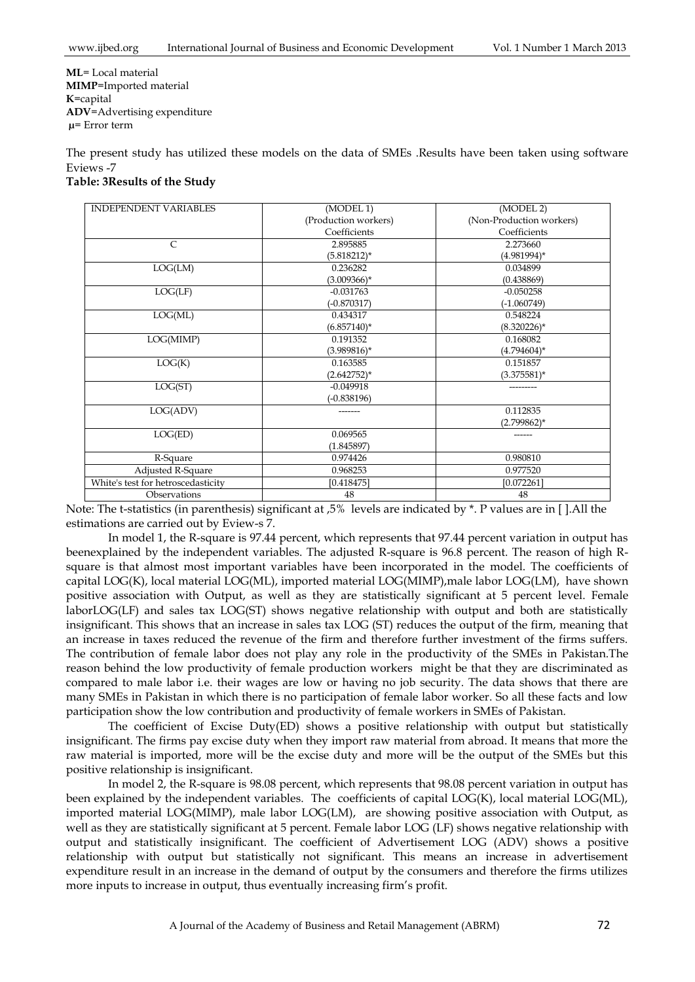**ML**= Local material **MIMP**=Imported material **K**=capital **ADV**=Advertising expenditure **µ**= Error term

The present study has utilized these models on the data of SMEs .Results have been taken using software Eviews -7

| <b>INDEPENDENT VARIABLES</b>       | (MODEL 1)            | (MODEL 2)                |
|------------------------------------|----------------------|--------------------------|
|                                    | (Production workers) | (Non-Production workers) |
|                                    | Coefficients         | Coefficients             |
| $\mathsf{C}$                       | 2.895885             | 2.273660                 |
|                                    | $(5.818212)^*$       | $(4.981994)^*$           |
| LOG(LM)                            | 0.236282             | 0.034899                 |
|                                    | $(3.009366)^*$       | (0.438869)               |
| LOG(LF)                            | $-0.031763$          | $-0.050258$              |
|                                    | $(-0.870317)$        | $(-1.060749)$            |
| LOG(ML)                            | 0.434317             | 0.548224                 |
|                                    | $(6.857140)^*$       | $(8.320226)^*$           |
| LOG(MIMP)                          | 0.191352             | 0.168082                 |
|                                    | $(3.989816)^*$       | $(4.794604)^*$           |
| LOG(K)                             | 0.163585             | 0.151857                 |
|                                    | $(2.642752)^*$       | $(3.375581)^*$           |
| LOG(ST)                            | $-0.049918$          |                          |
|                                    | $(-0.838196)$        |                          |
| LOG(ADV)                           |                      | 0.112835                 |
|                                    |                      | $(2.799862)^*$           |
| LOG(ED)                            | 0.069565             |                          |
|                                    | (1.845897)           |                          |
| R-Square                           | 0.974426             | 0.980810                 |
| Adjusted R-Square                  | 0.968253             | 0.977520                 |
| White's test for hetroscedasticity | [0.418475]           | [0.072261]               |
| Observations                       | 48                   | 48                       |

Note: The t-statistics (in parenthesis) significant at ,5% levels are indicated by \*. P values are in [ ].All the estimations are carried out by Eview-s 7.

In model 1, the R-square is 97.44 percent, which represents that 97.44 percent variation in output has beenexplained by the independent variables. The adjusted R-square is 96.8 percent. The reason of high Rsquare is that almost most important variables have been incorporated in the model. The coefficients of capital LOG(K), local material LOG(ML), imported material LOG(MIMP),male labor LOG(LM), have shown positive association with Output, as well as they are statistically significant at 5 percent level. Female laborLOG(LF) and sales tax LOG(ST) shows negative relationship with output and both are statistically insignificant. This shows that an increase in sales tax LOG (ST) reduces the output of the firm, meaning that an increase in taxes reduced the revenue of the firm and therefore further investment of the firms suffers. The contribution of female labor does not play any role in the productivity of the SMEs in Pakistan.The reason behind the low productivity of female production workers might be that they are discriminated as compared to male labor i.e. their wages are low or having no job security. The data shows that there are many SMEs in Pakistan in which there is no participation of female labor worker. So all these facts and low participation show the low contribution and productivity of female workers in SMEs of Pakistan.

The coefficient of Excise Duty(ED) shows a positive relationship with output but statistically insignificant. The firms pay excise duty when they import raw material from abroad. It means that more the raw material is imported, more will be the excise duty and more will be the output of the SMEs but this positive relationship is insignificant.

In model 2, the R-square is 98.08 percent, which represents that 98.08 percent variation in output has been explained by the independent variables. The coefficients of capital LOG(K), local material LOG(ML), imported material LOG(MIMP), male labor LOG(LM), are showing positive association with Output, as well as they are statistically significant at 5 percent. Female labor LOG (LF) shows negative relationship with output and statistically insignificant. The coefficient of Advertisement LOG (ADV) shows a positive relationship with output but statistically not significant. This means an increase in advertisement expenditure result in an increase in the demand of output by the consumers and therefore the firms utilizes more inputs to increase in output, thus eventually increasing firm's profit.